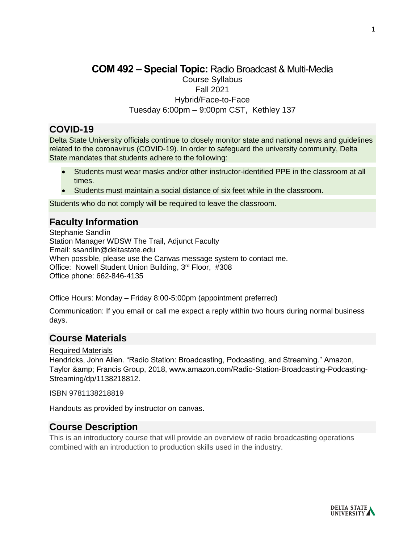## **COM 492 – Special Topic:** Radio Broadcast & Multi-Media Course Syllabus Fall 2021 Hybrid/Face-to-Face Tuesday 6:00pm – 9:00pm CST, Kethley 137

# **COVID-19**

Delta State University officials continue to closely monitor state and national news and guidelines related to the coronavirus (COVID-19). In order to safeguard the university community, Delta State mandates that students adhere to the following:

- Students must wear masks and/or other instructor-identified PPE in the classroom at all times.
- Students must maintain a social distance of six feet while in the classroom.

Students who do not comply will be required to leave the classroom.

# **Faculty Information**

Stephanie Sandlin Station Manager WDSW The Trail, Adjunct Faculty Email: ssandlin@deltastate.edu When possible, please use the Canvas message system to contact me. Office: Nowell Student Union Building, 3rd Floor, #308 Office phone: 662-846-4135

Office Hours: Monday – Friday 8:00-5:00pm (appointment preferred)

Communication: If you email or call me expect a reply within two hours during normal business days.

## **Course Materials**

Required Materials

Hendricks, John Allen. "Radio Station: Broadcasting, Podcasting, and Streaming." Amazon, Taylor & Francis Group, 2018, www.amazon.com/Radio-Station-Broadcasting-Podcasting-Streaming/dp/1138218812.

ISBN 9781138218819

Handouts as provided by instructor on canvas.

# **Course Description**

This is an introductory course that will provide an overview of radio broadcasting operations combined with an introduction to production skills used in the industry.

1

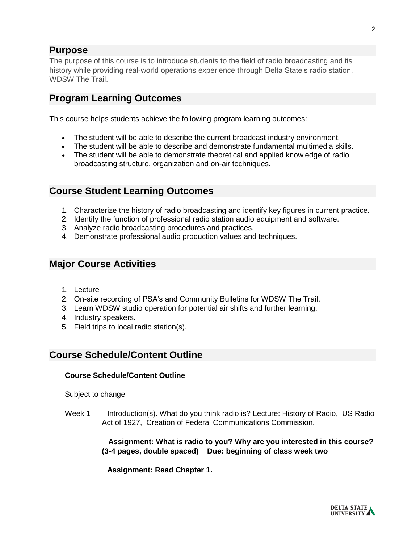# **Purpose**

The purpose of this course is to introduce students to the field of radio broadcasting and its history while providing real-world operations experience through Delta State's radio station, WDSW The Trail.

# **Program Learning Outcomes**

This course helps students achieve the following program learning outcomes:

- The student will be able to describe the current broadcast industry environment.
- The student will be able to describe and demonstrate fundamental multimedia skills.
- The student will be able to demonstrate theoretical and applied knowledge of radio broadcasting structure, organization and on-air techniques.

## **Course Student Learning Outcomes**

- 1. Characterize the history of radio broadcasting and identify key figures in current practice.
- 2. Identify the function of professional radio station audio equipment and software.
- 3. Analyze radio broadcasting procedures and practices.
- 4. Demonstrate professional audio production values and techniques.

## **Major Course Activities**

- 1. Lecture
- 2. On-site recording of PSA's and Community Bulletins for WDSW The Trail.
- 3. Learn WDSW studio operation for potential air shifts and further learning.
- 4. Industry speakers.
- 5. Field trips to local radio station(s).

## **Course Schedule/Content Outline**

### **Course Schedule/Content Outline**

Subject to change

Week 1 Introduction(s). What do you think radio is? Lecture: History of Radio, US Radio Act of 1927, Creation of Federal Communications Commission.

### **Assignment: What is radio to you? Why are you interested in this course? (3-4 pages, double spaced) Due: beginning of class week two**

 **Assignment: Read Chapter 1.** 

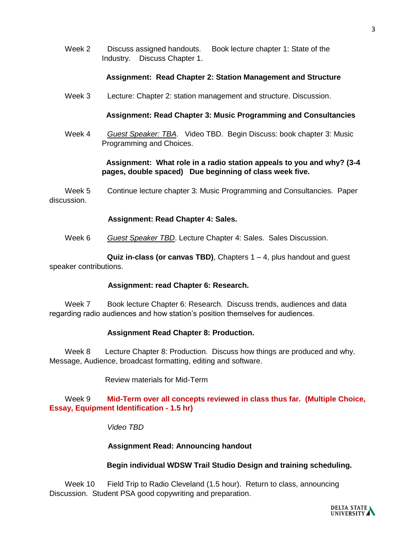Week 2 Discuss assigned handouts. Book lecture chapter 1: State of the Industry. Discuss Chapter 1.

#### **Assignment: Read Chapter 2: Station Management and Structure**

Week 3 Lecture: Chapter 2: station management and structure. Discussion.

#### **Assignment: Read Chapter 3: Music Programming and Consultancies**

Week 4 *Guest Speaker: TBA*. Video TBD. Begin Discuss: book chapter 3: Music Programming and Choices.

#### **Assignment: What role in a radio station appeals to you and why? (3-4 pages, double spaced) Due beginning of class week five.**

Week 5 Continue lecture chapter 3: Music Programming and Consultancies. Paper discussion.

#### **Assignment: Read Chapter 4: Sales.**

Week 6 *Guest Speaker TBD*. Lecture Chapter 4: Sales. Sales Discussion.

 **Quiz in-class (or canvas TBD)**, Chapters 1 – 4, plus handout and guest speaker contributions.

#### **Assignment: read Chapter 6: Research.**

Week 7 Book lecture Chapter 6: Research. Discuss trends, audiences and data regarding radio audiences and how station's position themselves for audiences.

#### **Assignment Read Chapter 8: Production.**

Week 8 Lecture Chapter 8: Production. Discuss how things are produced and why. Message, Audience, broadcast formatting, editing and software.

Review materials for Mid-Term

Week 9 **Mid-Term over all concepts reviewed in class thus far. (Multiple Choice, Essay, Equipment Identification - 1.5 hr)**

#### *Video TBD*

#### **Assignment Read: Announcing handout**

#### **Begin individual WDSW Trail Studio Design and training scheduling.**

Week 10 Field Trip to Radio Cleveland (1.5 hour). Return to class, announcing Discussion. Student PSA good copywriting and preparation.

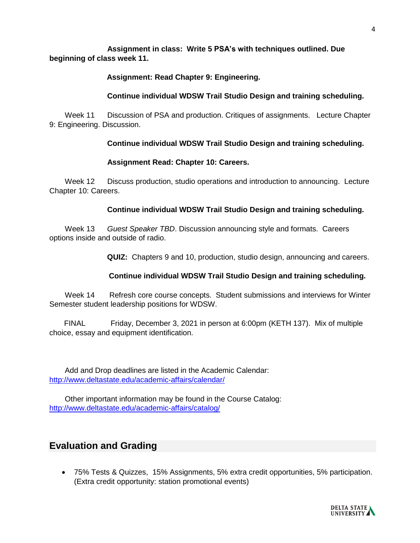### **Assignment in class: Write 5 PSA's with techniques outlined. Due beginning of class week 11.**

### **Assignment: Read Chapter 9: Engineering.**

### **Continue individual WDSW Trail Studio Design and training scheduling.**

Week 11 Discussion of PSA and production. Critiques of assignments. Lecture Chapter 9: Engineering. Discussion.

### **Continue individual WDSW Trail Studio Design and training scheduling.**

### **Assignment Read: Chapter 10: Careers.**

Week 12 Discuss production, studio operations and introduction to announcing. Lecture Chapter 10: Careers.

### **Continue individual WDSW Trail Studio Design and training scheduling.**

Week 13 *Guest Speaker TBD*. Discussion announcing style and formats. Careers options inside and outside of radio.

**QUIZ:** Chapters 9 and 10, production, studio design, announcing and careers.

### **Continue individual WDSW Trail Studio Design and training scheduling.**

Week 14 Refresh core course concepts. Student submissions and interviews for Winter Semester student leadership positions for WDSW.

 FINAL Friday, December 3, 2021 in person at 6:00pm (KETH 137). Mix of multiple choice, essay and equipment identification.

Add and Drop deadlines are listed in the Academic Calendar: <http://www.deltastate.edu/academic-affairs/calendar/>

Other important information may be found in the Course Catalog: <http://www.deltastate.edu/academic-affairs/catalog/>

# **Evaluation and Grading**

• 75% Tests & Quizzes, 15% Assignments, 5% extra credit opportunities, 5% participation. (Extra credit opportunity: station promotional events)

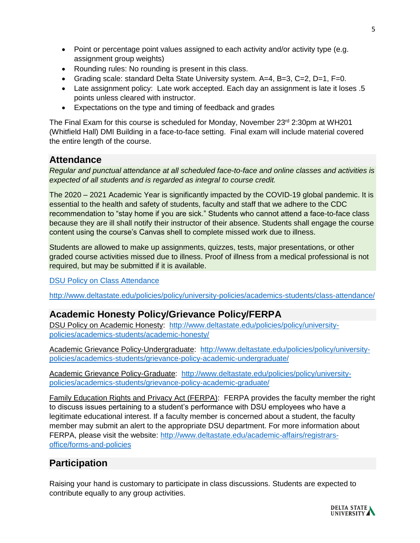- Point or percentage point values assigned to each activity and/or activity type (e.g. assignment group weights)
- Rounding rules: No rounding is present in this class.
- Grading scale: standard Delta State University system. A=4, B=3, C=2, D=1, F=0.
- Late assignment policy: Late work accepted. Each day an assignment is late it loses .5 points unless cleared with instructor.
- Expectations on the type and timing of feedback and grades

The Final Exam for this course is scheduled for Monday, November  $23<sup>rd</sup> 2:30<sub>pm</sub>$  at WH201 (Whitfield Hall) DMI Building in a face-to-face setting. Final exam will include material covered the entire length of the course.

# **Attendance**

*Regular and punctual attendance at all scheduled face-to-face and online classes and activities is expected of all students and is regarded as integral to course credit.*

The 2020 – 2021 Academic Year is significantly impacted by the COVID-19 global pandemic. It is essential to the health and safety of students, faculty and staff that we adhere to the CDC recommendation to "stay home if you are sick." Students who cannot attend a face-to-face class because they are ill shall notify their instructor of their absence. Students shall engage the course content using the course's Canvas shell to complete missed work due to illness.

Students are allowed to make up assignments, quizzes, tests, major presentations, or other graded course activities missed due to illness. Proof of illness from a medical professional is not required, but may be submitted if it is available.

[DSU Policy on Class Attendance](http://www.deltastate.edu/policies/policy/university-policies/academics-students/class-attendance/)

<http://www.deltastate.edu/policies/policy/university-policies/academics-students/class-attendance/>

# **Academic Honesty Policy/Grievance Policy/FERPA**

[DSU Policy on Academic Honesty:](http://www.deltastate.edu/policies/policy/university-policies/academics-students/academic-honesty/) [http://www.deltastate.edu/policies/policy/university](http://www.deltastate.edu/policies/policy/university-policies/academics-students/academic-honesty/)[policies/academics-students/academic-honesty/](http://www.deltastate.edu/policies/policy/university-policies/academics-students/academic-honesty/)

Academic Grievance Policy-Undergraduate: [http://www.deltastate.edu/policies/policy/university](http://www.deltastate.edu/policies/policy/university-policies/academics-students/grievance-policy-academic-undergraduate/)[policies/academics-students/grievance-policy-academic-undergraduate/](http://www.deltastate.edu/policies/policy/university-policies/academics-students/grievance-policy-academic-undergraduate/)

Academic Grievance Policy-Graduate: [http://www.deltastate.edu/policies/policy/university](http://www.deltastate.edu/policies/policy/university-policies/academics-students/grievance-policy-academic-graduate/)[policies/academics-students/grievance-policy-academic-graduate/](http://www.deltastate.edu/policies/policy/university-policies/academics-students/grievance-policy-academic-graduate/)

Family Education Rights and Privacy Act (FERPA): FERPA provides the faculty member the right to discuss issues pertaining to a student's performance with DSU employees who have a legitimate educational interest. If a faculty member is concerned about a student, the faculty member may submit an alert to the appropriate DSU department. For more information about FERPA, please visit the website: [http://www.deltastate.edu/academic-affairs/registrars](http://www.deltastate.edu/academic-affairs/registrars-office/forms-and-policies)[office/forms-and-policies](http://www.deltastate.edu/academic-affairs/registrars-office/forms-and-policies)

# **Participation**

Raising your hand is customary to participate in class discussions. Students are expected to contribute equally to any group activities.

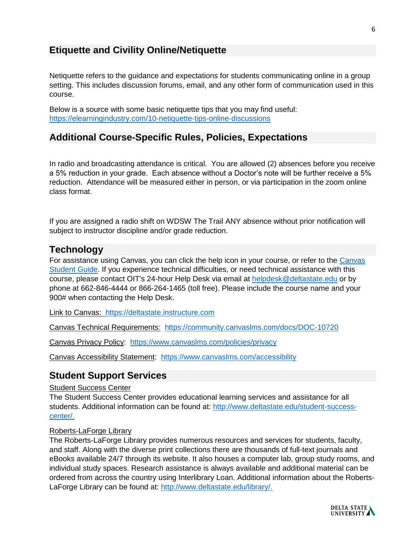# **Etiquette and Civility Online/Netiquette**

Netiquette refers to the guidance and expectations for students communicating online in a group setting. This includes discussion forums, email, and any other form of communication used in this course.

Below is a source with some basic netiquette tips that you may find useful: <https://elearningindustry.com/10-netiquette-tips-online-discussions>

## **Additional Course-Specific Rules, Policies, Expectations**

In radio and broadcasting attendance is critical. You are allowed (2) absences before you receive a 5% reduction in your grade. Each absence without a Doctor's note will be further receive a 5% reduction. Attendance will be measured either in person, or via participation in the zoom online class format.

If you are assigned a radio shift on WDSW The Trail ANY absence without prior notification will subject to instructor discipline and/or grade reduction.

## **Technology**

For assistance using Canvas, you can click the help icon in your course, or refer to the Canvas [Student Guide.](https://guides.instructure.com/m/4212) If you experience technical difficulties, or need technical assistance with this course, please contact OIT's 24-hour Help Desk via email at [helpdesk@deltastate.edu](mailto:helpdesk@deltastate.edu) or by phone at 662-846-4444 or 866-264-1465 (toll free). Please include the course name and your 900# when contacting the Help Desk.

[Link to Canvas:](https://deltastate.instructure.com/) [https://deltastate.instructure.com](https://deltastate.instructure.com/)

[Canvas Technical Requirements:](https://community.canvaslms.com/docs/DOC-10720) <https://community.canvaslms.com/docs/DOC-10720>

[Canvas Privacy Policy:](https://www.canvaslms.com/policies/privacy) <https://www.canvaslms.com/policies/privacy>

[Canvas Accessibility Statement:](https://www.canvaslms.com/accessibility) <https://www.canvaslms.com/accessibility>

## **Student Support Services**

#### Student Success Center

The Student Success Center provides educational learning services and assistance for all students. Additional information can be found at: [http://www.deltastate.edu/student-success](http://www.deltastate.edu/student-success-center/)[center/.](http://www.deltastate.edu/student-success-center/)

#### Roberts-LaForge Library

The Roberts-LaForge Library provides numerous resources and services for students, faculty, and staff. Along with the diverse print collections there are thousands of full-text journals and eBooks available 24/7 through its website. It also houses a computer lab, group study rooms, and individual study spaces. Research assistance is always available and additional material can be ordered from across the country using Interlibrary Loan. Additional information about the Roberts-LaForge Library can be found at: [http://www.deltastate.edu/library/.](http://www.deltastate.edu/library/)